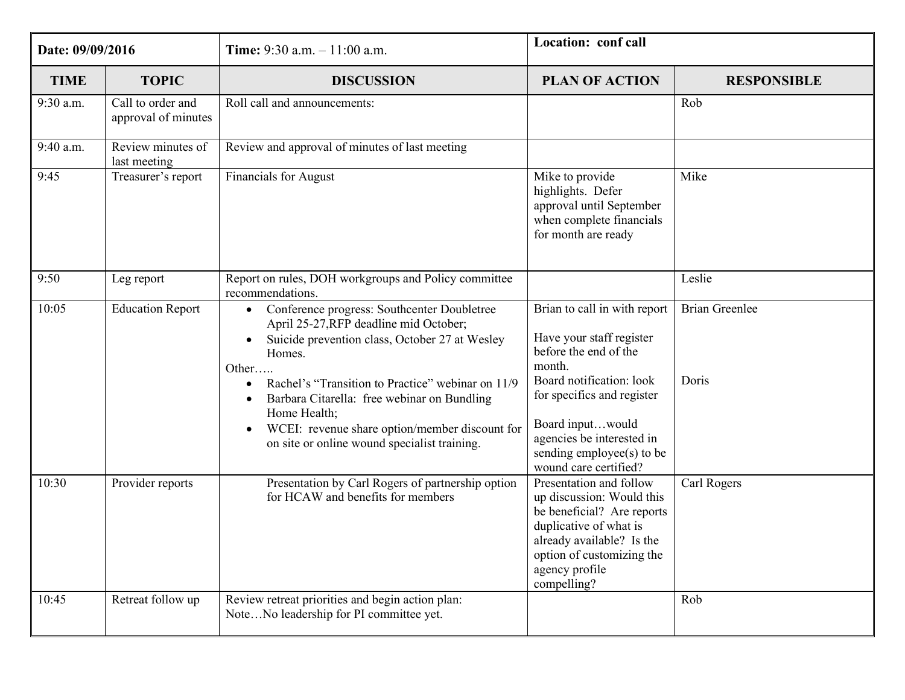| Date: 09/09/2016 |                                          | <b>Time:</b> 9:30 a.m. $-11:00$ a.m.                                                                                                                                                                                                                                                                                                                                                                                    | Location: conf call                                                                                                                                                                                                                                          |                                |
|------------------|------------------------------------------|-------------------------------------------------------------------------------------------------------------------------------------------------------------------------------------------------------------------------------------------------------------------------------------------------------------------------------------------------------------------------------------------------------------------------|--------------------------------------------------------------------------------------------------------------------------------------------------------------------------------------------------------------------------------------------------------------|--------------------------------|
| <b>TIME</b>      | <b>TOPIC</b>                             | <b>DISCUSSION</b>                                                                                                                                                                                                                                                                                                                                                                                                       | <b>PLAN OF ACTION</b>                                                                                                                                                                                                                                        | <b>RESPONSIBLE</b>             |
| 9:30 a.m.        | Call to order and<br>approval of minutes | Roll call and announcements:                                                                                                                                                                                                                                                                                                                                                                                            |                                                                                                                                                                                                                                                              | Rob                            |
| 9:40 a.m.        | Review minutes of<br>last meeting        | Review and approval of minutes of last meeting                                                                                                                                                                                                                                                                                                                                                                          |                                                                                                                                                                                                                                                              |                                |
| 9:45             | Treasurer's report                       | <b>Financials for August</b>                                                                                                                                                                                                                                                                                                                                                                                            | Mike to provide<br>highlights. Defer<br>approval until September<br>when complete financials<br>for month are ready                                                                                                                                          | Mike                           |
| 9:50             | Leg report                               | Report on rules, DOH workgroups and Policy committee<br>recommendations.                                                                                                                                                                                                                                                                                                                                                |                                                                                                                                                                                                                                                              | Leslie                         |
| 10:05            | <b>Education Report</b>                  | Conference progress: Southcenter Doubletree<br>$\bullet$<br>April 25-27, RFP deadline mid October;<br>Suicide prevention class, October 27 at Wesley<br>Homes.<br>Other<br>Rachel's "Transition to Practice" webinar on 11/9<br>$\bullet$<br>Barbara Citarella: free webinar on Bundling<br>Home Health;<br>WCEI: revenue share option/member discount for<br>$\bullet$<br>on site or online wound specialist training. | Brian to call in with report<br>Have your staff register<br>before the end of the<br>month.<br>Board notification: look<br>for specifics and register<br>Board inputwould<br>agencies be interested in<br>sending employee(s) to be<br>wound care certified? | <b>Brian Greenlee</b><br>Doris |
| 10:30            | Provider reports                         | Presentation by Carl Rogers of partnership option<br>for HCAW and benefits for members                                                                                                                                                                                                                                                                                                                                  | Presentation and follow<br>up discussion: Would this<br>be beneficial? Are reports<br>duplicative of what is<br>already available? Is the<br>option of customizing the<br>agency profile<br>compelling?                                                      | Carl Rogers                    |
| 10:45            | Retreat follow up                        | Review retreat priorities and begin action plan:<br>NoteNo leadership for PI committee yet.                                                                                                                                                                                                                                                                                                                             |                                                                                                                                                                                                                                                              | Rob                            |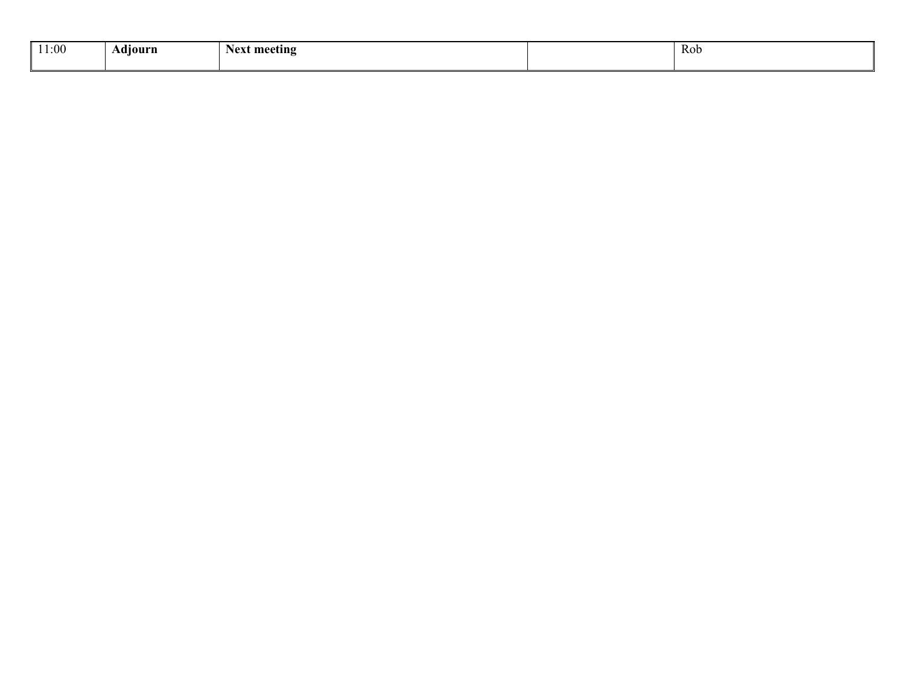| 11:00 | . .<br>Adıourn | Next meeting | <b>Rob</b> |
|-------|----------------|--------------|------------|
|       |                |              |            |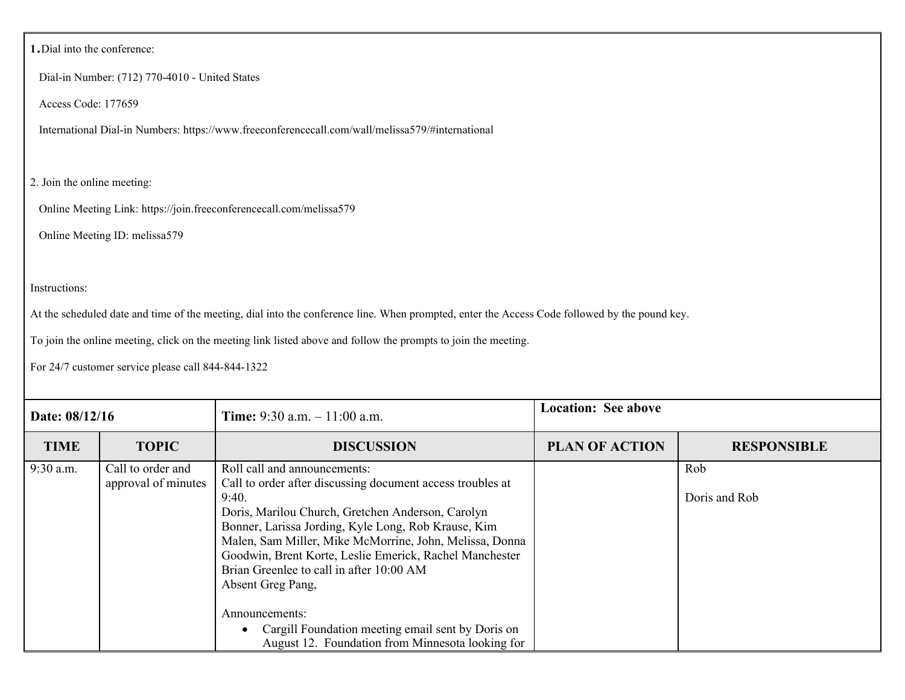#### **<sup>1</sup>**.Dial into the conference:

Dial-in Number: (712) 770-4010 - United States

Access Code: 177659

International Dial-in Numbers: https://www.freeconferencecall.com/wall/melissa579/#international

#### 2. Join the online meeting:

Online Meeting Link: https://join.freeconferencecall.com/melissa579

Online Meeting ID: melissa579

#### Instructions:

At the scheduled date and time of the meeting, dial into the conference line. When prompted, enter the Access Code followed by the pound key.

To join the online meeting, click on the meeting link listed above and follow the prompts to join the meeting.

For 24/7 customer service please call 844-844-1322

| Date: 08/12/16 |                                          | <b>Time:</b> 9:30 a.m. $-11:00$ a.m.                                                                                                                                                                                                                                                                                                                                                                                                                                                                                              | <b>Location: See above</b> |                      |
|----------------|------------------------------------------|-----------------------------------------------------------------------------------------------------------------------------------------------------------------------------------------------------------------------------------------------------------------------------------------------------------------------------------------------------------------------------------------------------------------------------------------------------------------------------------------------------------------------------------|----------------------------|----------------------|
| <b>TIME</b>    | <b>TOPIC</b>                             | <b>DISCUSSION</b>                                                                                                                                                                                                                                                                                                                                                                                                                                                                                                                 | <b>PLAN OF ACTION</b>      | <b>RESPONSIBLE</b>   |
| $9:30$ a.m.    | Call to order and<br>approval of minutes | Roll call and announcements:<br>Call to order after discussing document access troubles at<br>9:40.<br>Doris, Marilou Church, Gretchen Anderson, Carolyn<br>Bonner, Larissa Jording, Kyle Long, Rob Krause, Kim<br>Malen, Sam Miller, Mike McMorrine, John, Melissa, Donna<br>Goodwin, Brent Korte, Leslie Emerick, Rachel Manchester<br>Brian Greenlee to call in after 10:00 AM<br>Absent Greg Pang,<br>Announcements:<br>Cargill Foundation meeting email sent by Doris on<br>August 12. Foundation from Minnesota looking for |                            | Rob<br>Doris and Rob |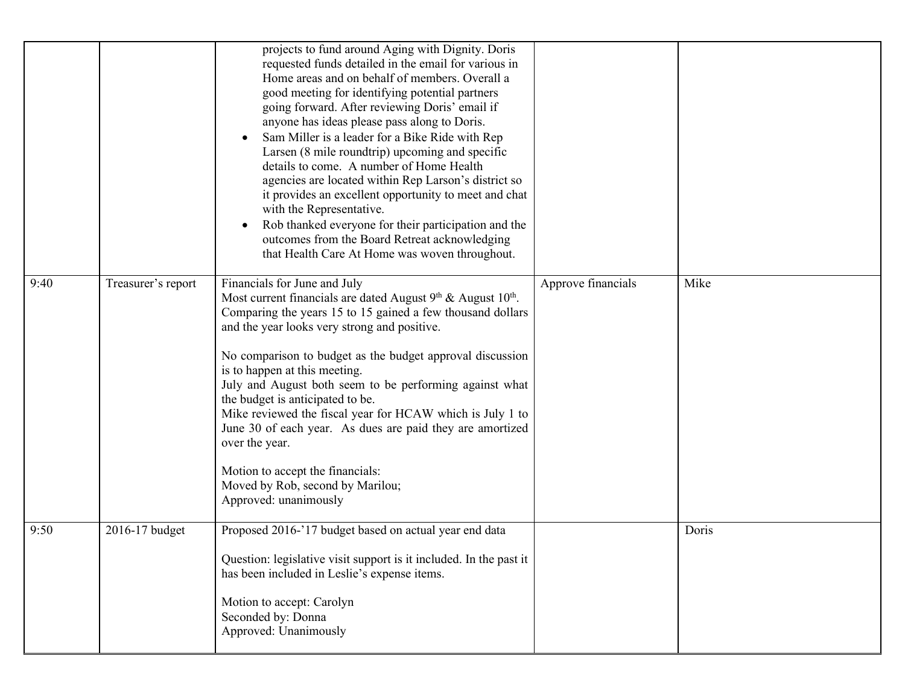|      |                    | projects to fund around Aging with Dignity. Doris<br>requested funds detailed in the email for various in<br>Home areas and on behalf of members. Overall a<br>good meeting for identifying potential partners<br>going forward. After reviewing Doris' email if<br>anyone has ideas please pass along to Doris.<br>Sam Miller is a leader for a Bike Ride with Rep<br>Larsen (8 mile roundtrip) upcoming and specific<br>details to come. A number of Home Health<br>agencies are located within Rep Larson's district so<br>it provides an excellent opportunity to meet and chat<br>with the Representative.<br>Rob thanked everyone for their participation and the<br>outcomes from the Board Retreat acknowledging<br>that Health Care At Home was woven throughout. |                    |       |
|------|--------------------|----------------------------------------------------------------------------------------------------------------------------------------------------------------------------------------------------------------------------------------------------------------------------------------------------------------------------------------------------------------------------------------------------------------------------------------------------------------------------------------------------------------------------------------------------------------------------------------------------------------------------------------------------------------------------------------------------------------------------------------------------------------------------|--------------------|-------|
| 9:40 | Treasurer's report | Financials for June and July<br>Most current financials are dated August $9th$ & August $10th$ .<br>Comparing the years 15 to 15 gained a few thousand dollars<br>and the year looks very strong and positive.<br>No comparison to budget as the budget approval discussion<br>is to happen at this meeting.<br>July and August both seem to be performing against what<br>the budget is anticipated to be.<br>Mike reviewed the fiscal year for HCAW which is July 1 to<br>June 30 of each year. As dues are paid they are amortized<br>over the year.<br>Motion to accept the financials:<br>Moved by Rob, second by Marilou;<br>Approved: unanimously                                                                                                                   | Approve financials | Mike  |
| 9:50 | 2016-17 budget     | Proposed 2016-'17 budget based on actual year end data<br>Question: legislative visit support is it included. In the past it<br>has been included in Leslie's expense items.<br>Motion to accept: Carolyn<br>Seconded by: Donna<br>Approved: Unanimously                                                                                                                                                                                                                                                                                                                                                                                                                                                                                                                   |                    | Doris |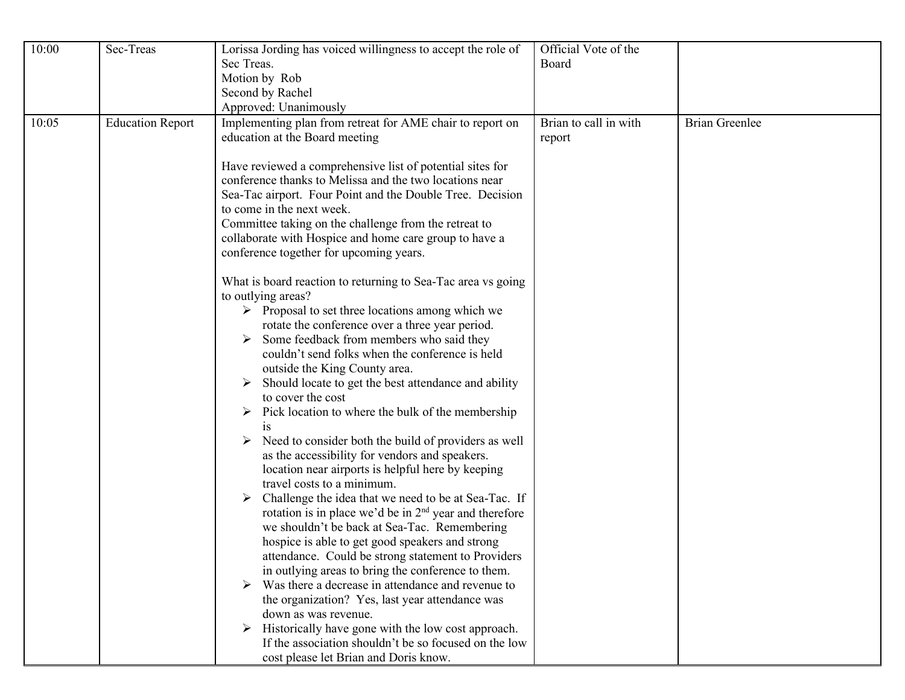| 10:00 | Sec-Treas               | Lorissa Jording has voiced willingness to accept the role of<br>Sec Treas.<br>Motion by Rob<br>Second by Rachel<br>Approved: Unanimously                                                                                                                                                                                                                                                                                                                                                                                                                                                                                                                                                                                                                                                                                                                                                                                                                                                                                                                                                                                                                                                                                     | Official Vote of the<br>Board   |                       |
|-------|-------------------------|------------------------------------------------------------------------------------------------------------------------------------------------------------------------------------------------------------------------------------------------------------------------------------------------------------------------------------------------------------------------------------------------------------------------------------------------------------------------------------------------------------------------------------------------------------------------------------------------------------------------------------------------------------------------------------------------------------------------------------------------------------------------------------------------------------------------------------------------------------------------------------------------------------------------------------------------------------------------------------------------------------------------------------------------------------------------------------------------------------------------------------------------------------------------------------------------------------------------------|---------------------------------|-----------------------|
| 10:05 | <b>Education Report</b> | Implementing plan from retreat for AME chair to report on<br>education at the Board meeting<br>Have reviewed a comprehensive list of potential sites for<br>conference thanks to Melissa and the two locations near<br>Sea-Tac airport. Four Point and the Double Tree. Decision<br>to come in the next week.<br>Committee taking on the challenge from the retreat to<br>collaborate with Hospice and home care group to have a<br>conference together for upcoming years.                                                                                                                                                                                                                                                                                                                                                                                                                                                                                                                                                                                                                                                                                                                                                  | Brian to call in with<br>report | <b>Brian Greenlee</b> |
|       |                         | What is board reaction to returning to Sea-Tac area vs going<br>to outlying areas?<br>$\triangleright$ Proposal to set three locations among which we<br>rotate the conference over a three year period.<br>Some feedback from members who said they<br>couldn't send folks when the conference is held<br>outside the King County area.<br>Should locate to get the best attendance and ability<br>to cover the cost<br>$\triangleright$ Pick location to where the bulk of the membership<br>1S<br>Need to consider both the build of providers as well<br>➤<br>as the accessibility for vendors and speakers.<br>location near airports is helpful here by keeping<br>travel costs to a minimum.<br>Challenge the idea that we need to be at Sea-Tac. If<br>rotation is in place we'd be in $2nd$ year and therefore<br>we shouldn't be back at Sea-Tac. Remembering<br>hospice is able to get good speakers and strong<br>attendance. Could be strong statement to Providers<br>in outlying areas to bring the conference to them.<br>Was there a decrease in attendance and revenue to<br>the organization? Yes, last year attendance was<br>down as was revenue.<br>Historically have gone with the low cost approach. |                                 |                       |
|       |                         | If the association shouldn't be so focused on the low<br>cost please let Brian and Doris know.                                                                                                                                                                                                                                                                                                                                                                                                                                                                                                                                                                                                                                                                                                                                                                                                                                                                                                                                                                                                                                                                                                                               |                                 |                       |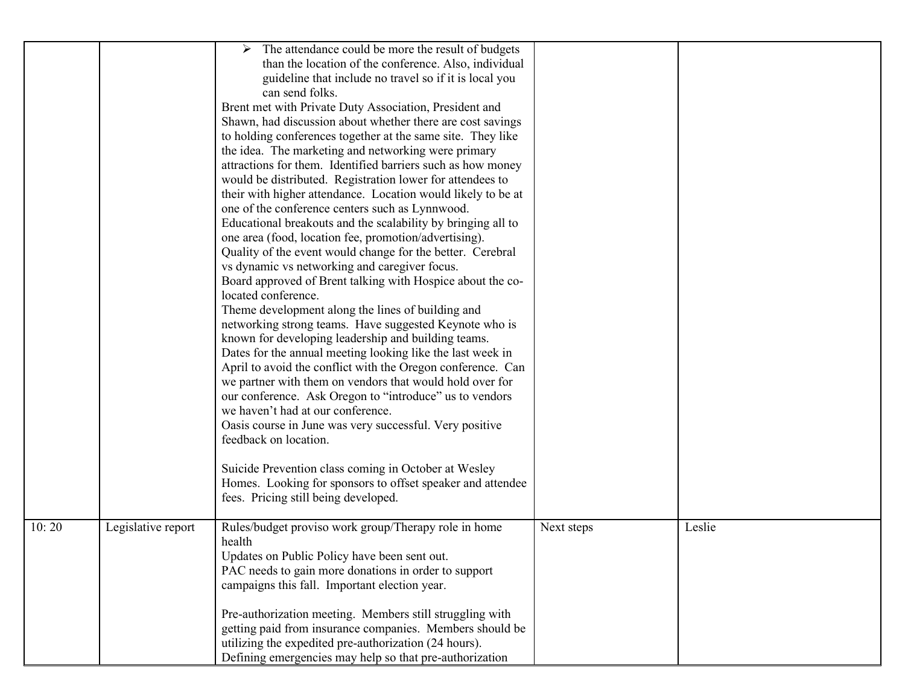|       |                    | The attendance could be more the result of budgets<br>➤<br>than the location of the conference. Also, individual<br>guideline that include no travel so if it is local you<br>can send folks.<br>Brent met with Private Duty Association, President and<br>Shawn, had discussion about whether there are cost savings<br>to holding conferences together at the same site. They like<br>the idea. The marketing and networking were primary<br>attractions for them. Identified barriers such as how money<br>would be distributed. Registration lower for attendees to<br>their with higher attendance. Location would likely to be at<br>one of the conference centers such as Lynnwood.<br>Educational breakouts and the scalability by bringing all to<br>one area (food, location fee, promotion/advertising).<br>Quality of the event would change for the better. Cerebral<br>vs dynamic vs networking and caregiver focus.<br>Board approved of Brent talking with Hospice about the co-<br>located conference.<br>Theme development along the lines of building and<br>networking strong teams. Have suggested Keynote who is<br>known for developing leadership and building teams.<br>Dates for the annual meeting looking like the last week in<br>April to avoid the conflict with the Oregon conference. Can<br>we partner with them on vendors that would hold over for<br>our conference. Ask Oregon to "introduce" us to vendors<br>we haven't had at our conference.<br>Oasis course in June was very successful. Very positive<br>feedback on location.<br>Suicide Prevention class coming in October at Wesley<br>Homes. Looking for sponsors to offset speaker and attendee<br>fees. Pricing still being developed. |            |        |
|-------|--------------------|------------------------------------------------------------------------------------------------------------------------------------------------------------------------------------------------------------------------------------------------------------------------------------------------------------------------------------------------------------------------------------------------------------------------------------------------------------------------------------------------------------------------------------------------------------------------------------------------------------------------------------------------------------------------------------------------------------------------------------------------------------------------------------------------------------------------------------------------------------------------------------------------------------------------------------------------------------------------------------------------------------------------------------------------------------------------------------------------------------------------------------------------------------------------------------------------------------------------------------------------------------------------------------------------------------------------------------------------------------------------------------------------------------------------------------------------------------------------------------------------------------------------------------------------------------------------------------------------------------------------------------------------------------------------------------------------------------------------------------------|------------|--------|
| 10:20 | Legislative report | Rules/budget proviso work group/Therapy role in home<br>health<br>Updates on Public Policy have been sent out.<br>PAC needs to gain more donations in order to support<br>campaigns this fall. Important election year.<br>Pre-authorization meeting. Members still struggling with<br>getting paid from insurance companies. Members should be<br>utilizing the expedited pre-authorization (24 hours).<br>Defining emergencies may help so that pre-authorization                                                                                                                                                                                                                                                                                                                                                                                                                                                                                                                                                                                                                                                                                                                                                                                                                                                                                                                                                                                                                                                                                                                                                                                                                                                                      | Next steps | Leslie |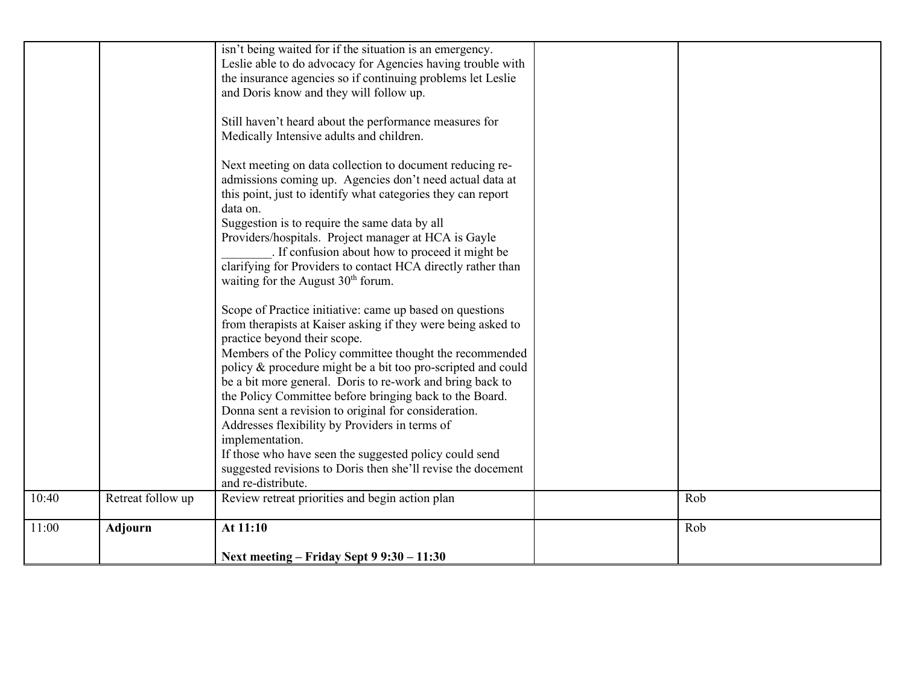|       |                   | isn't being waited for if the situation is an emergency.<br>Leslie able to do advocacy for Agencies having trouble with<br>the insurance agencies so if continuing problems let Leslie<br>and Doris know and they will follow up.<br>Still haven't heard about the performance measures for<br>Medically Intensive adults and children.<br>Next meeting on data collection to document reducing re-<br>admissions coming up. Agencies don't need actual data at<br>this point, just to identify what categories they can report                                                                                                                                                          |     |
|-------|-------------------|------------------------------------------------------------------------------------------------------------------------------------------------------------------------------------------------------------------------------------------------------------------------------------------------------------------------------------------------------------------------------------------------------------------------------------------------------------------------------------------------------------------------------------------------------------------------------------------------------------------------------------------------------------------------------------------|-----|
|       |                   | data on.<br>Suggestion is to require the same data by all<br>Providers/hospitals. Project manager at HCA is Gayle<br>. If confusion about how to proceed it might be<br>clarifying for Providers to contact HCA directly rather than<br>waiting for the August 30 <sup>th</sup> forum.                                                                                                                                                                                                                                                                                                                                                                                                   |     |
|       |                   | Scope of Practice initiative: came up based on questions<br>from therapists at Kaiser asking if they were being asked to<br>practice beyond their scope.<br>Members of the Policy committee thought the recommended<br>policy & procedure might be a bit too pro-scripted and could<br>be a bit more general. Doris to re-work and bring back to<br>the Policy Committee before bringing back to the Board.<br>Donna sent a revision to original for consideration.<br>Addresses flexibility by Providers in terms of<br>implementation.<br>If those who have seen the suggested policy could send<br>suggested revisions to Doris then she'll revise the docement<br>and re-distribute. |     |
| 10:40 | Retreat follow up | Review retreat priorities and begin action plan                                                                                                                                                                                                                                                                                                                                                                                                                                                                                                                                                                                                                                          | Rob |
| 11:00 | <b>Adjourn</b>    | At 11:10<br>Next meeting – Friday Sept $99:30 - 11:30$                                                                                                                                                                                                                                                                                                                                                                                                                                                                                                                                                                                                                                   | Rob |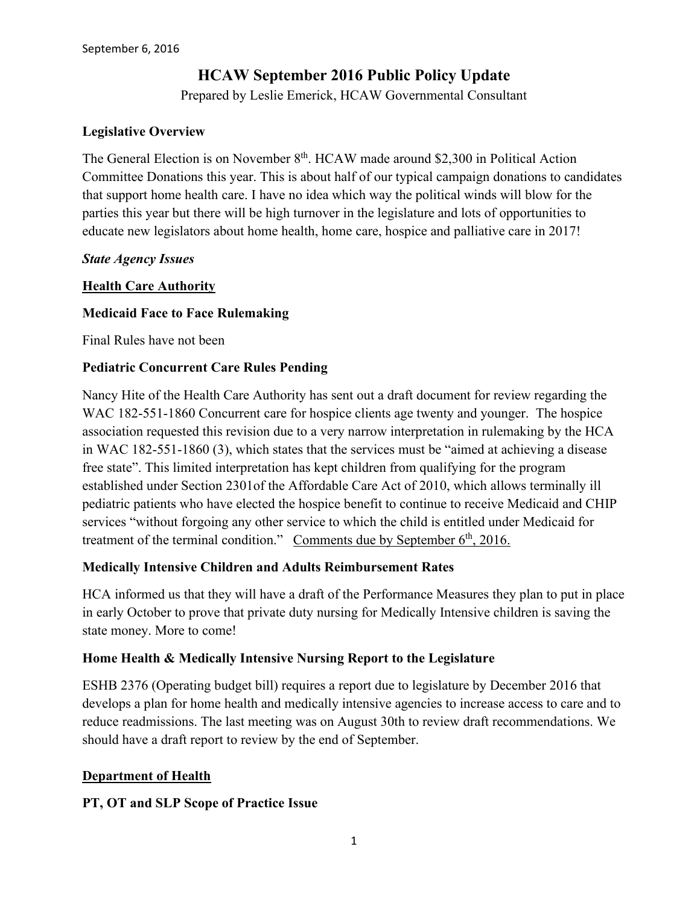# **HCAW September 2016 Public Policy Update**

Prepared by Leslie Emerick, HCAW Governmental Consultant

#### **Legislative Overview**

The General Election is on November 8<sup>th</sup>. HCAW made around \$2,300 in Political Action Committee Donations this year. This is about half of our typical campaign donations to candidates that support home health care. I have no idea which way the political winds will blow for the parties this year but there will be high turnover in the legislature and lots of opportunities to educate new legislators about home health, home care, hospice and palliative care in 2017!

#### *State Agency Issues*

#### **Health Care Authority**

#### **Medicaid Face to Face Rulemaking**

Final Rules have not been

#### **Pediatric Concurrent Care Rules Pending**

Nancy Hite of the Health Care Authority has sent out a draft document for review regarding the WAC 182-551-1860 Concurrent care for hospice clients age twenty and younger. The hospice association requested this revision due to a very narrow interpretation in rulemaking by the HCA in WAC 182-551-1860 (3), which states that the services must be "aimed at achieving a disease free state". This limited interpretation has kept children from qualifying for the program established under Section 2301of the Affordable Care Act of 2010, which allows terminally ill pediatric patients who have elected the hospice benefit to continue to receive Medicaid and CHIP services "without forgoing any other service to which the child is entitled under Medicaid for treatment of the terminal condition." Comments due by September  $6<sup>th</sup>$ , 2016.

#### **Medically Intensive Children and Adults Reimbursement Rates**

HCA informed us that they will have a draft of the Performance Measures they plan to put in place in early October to prove that private duty nursing for Medically Intensive children is saving the state money. More to come!

#### **Home Health & Medically Intensive Nursing Report to the Legislature**

ESHB 2376 (Operating budget bill) requires a report due to legislature by December 2016 that develops a plan for home health and medically intensive agencies to increase access to care and to reduce readmissions. The last meeting was on August 30th to review draft recommendations. We should have a draft report to review by the end of September.

#### **Department of Health**

#### **PT, OT and SLP Scope of Practice Issue**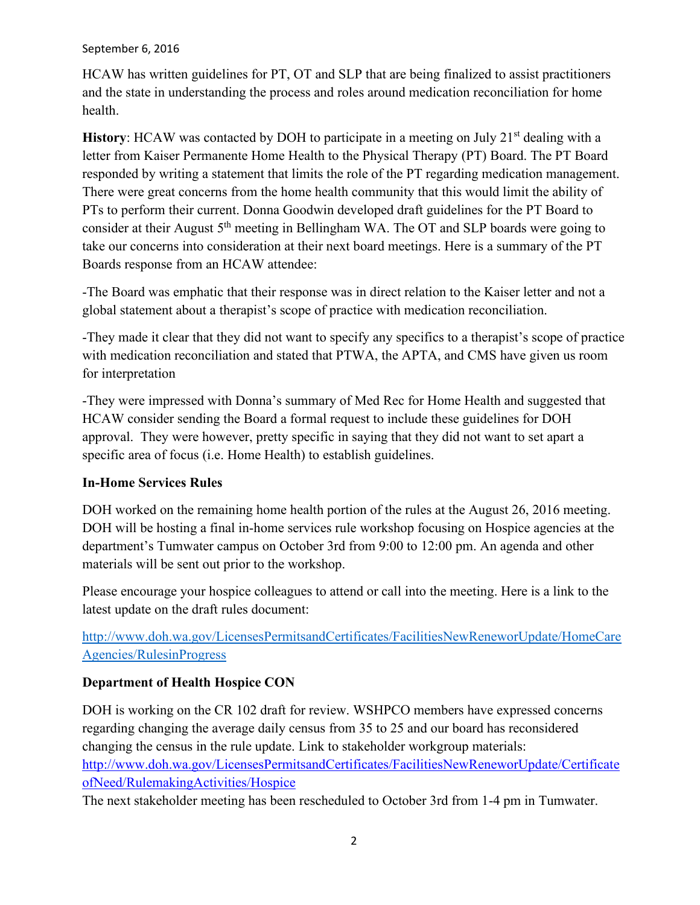#### September 6, 2016

HCAW has written guidelines for PT, OT and SLP that are being finalized to assist practitioners and the state in understanding the process and roles around medication reconciliation for home health.

**History:** HCAW was contacted by DOH to participate in a meeting on July 21<sup>st</sup> dealing with a letter from Kaiser Permanente Home Health to the Physical Therapy (PT) Board. The PT Board responded by writing a statement that limits the role of the PT regarding medication management. There were great concerns from the home health community that this would limit the ability of PTs to perform their current. Donna Goodwin developed draft guidelines for the PT Board to consider at their August  $5<sup>th</sup>$  meeting in Bellingham WA. The OT and SLP boards were going to take our concerns into consideration at their next board meetings. Here is a summary of the PT Boards response from an HCAW attendee:

-The Board was emphatic that their response was in direct relation to the Kaiser letter and not a global statement about a therapist's scope of practice with medication reconciliation.

-They made it clear that they did not want to specify any specifics to a therapist's scope of practice with medication reconciliation and stated that PTWA, the APTA, and CMS have given us room for interpretation

-They were impressed with Donna's summary of Med Rec for Home Health and suggested that HCAW consider sending the Board a formal request to include these guidelines for DOH approval. They were however, pretty specific in saying that they did not want to set apart a specific area of focus (i.e. Home Health) to establish guidelines.

## **In-Home Services Rules**

DOH worked on the remaining home health portion of the rules at the August 26, 2016 meeting. DOH will be hosting a final in-home services rule workshop focusing on Hospice agencies at the department's Tumwater campus on October 3rd from 9:00 to 12:00 pm. An agenda and other materials will be sent out prior to the workshop.

Please encourage your hospice colleagues to attend or call into the meeting. Here is a link to the latest update on the draft rules document:

[http://www.doh.wa.gov/LicensesPermitsandCertificates/FacilitiesNewReneworUpdate/HomeCare](http://www.doh.wa.gov/LicensesPermitsandCertificates/FacilitiesNewReneworUpdate/HomeCareAgencies/RulesinProgress) [Agencies/RulesinProgress](http://www.doh.wa.gov/LicensesPermitsandCertificates/FacilitiesNewReneworUpdate/HomeCareAgencies/RulesinProgress)

## **Department of Health Hospice CON**

DOH is working on the CR 102 draft for review. WSHPCO members have expressed concerns regarding changing the average daily census from 35 to 25 and our board has reconsidered changing the census in the rule update. Link to stakeholder workgroup materials: [http://www.doh.wa.gov/LicensesPermitsandCertificates/FacilitiesNewReneworUpdate/Certificate](http://www.doh.wa.gov/LicensesPermitsandCertificates/FacilitiesNewReneworUpdate/CertificateofNeed/RulemakingActivities/Hospice) [ofNeed/RulemakingActivities/Hospice](http://www.doh.wa.gov/LicensesPermitsandCertificates/FacilitiesNewReneworUpdate/CertificateofNeed/RulemakingActivities/Hospice)

The next stakeholder meeting has been rescheduled to October 3rd from 1-4 pm in Tumwater.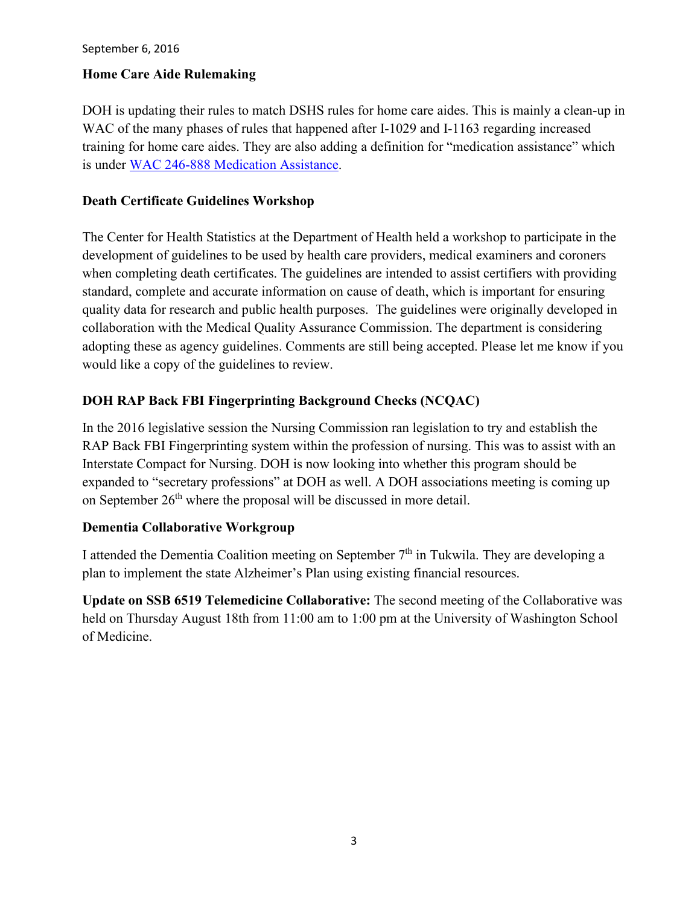#### **Home Care Aide Rulemaking**

DOH is updating their rules to match DSHS rules for home care aides. This is mainly a clean-up in WAC of the many phases of rules that happened after I-1029 and I-1163 regarding increased training for home care aides. They are also adding a definition for "medication assistance" which is under [WAC 246-888 Medication Assistance.](http://app.leg.wa.gov/wac/default.aspx?cite=246-888)

#### **Death Certificate Guidelines Workshop**

The Center for Health Statistics at the Department of Health held a workshop to participate in the development of guidelines to be used by health care providers, medical examiners and coroners when completing death certificates. The guidelines are intended to assist certifiers with providing standard, complete and accurate information on cause of death, which is important for ensuring quality data for research and public health purposes. The guidelines were originally developed in collaboration with the Medical Quality Assurance Commission. The department is considering adopting these as agency guidelines. Comments are still being accepted. Please let me know if you would like a copy of the guidelines to review.

## **DOH RAP Back FBI Fingerprinting Background Checks (NCQAC)**

In the 2016 legislative session the Nursing Commission ran legislation to try and establish the RAP Back FBI Fingerprinting system within the profession of nursing. This was to assist with an Interstate Compact for Nursing. DOH is now looking into whether this program should be expanded to "secretary professions" at DOH as well. A DOH associations meeting is coming up on September 26<sup>th</sup> where the proposal will be discussed in more detail.

#### **Dementia Collaborative Workgroup**

I attended the Dementia Coalition meeting on September 7th in Tukwila. They are developing a plan to implement the state Alzheimer's Plan using existing financial resources.

**Update on SSB 6519 Telemedicine Collaborative:** The second meeting of the Collaborative was held on Thursday August 18th from 11:00 am to 1:00 pm at the University of Washington School of Medicine.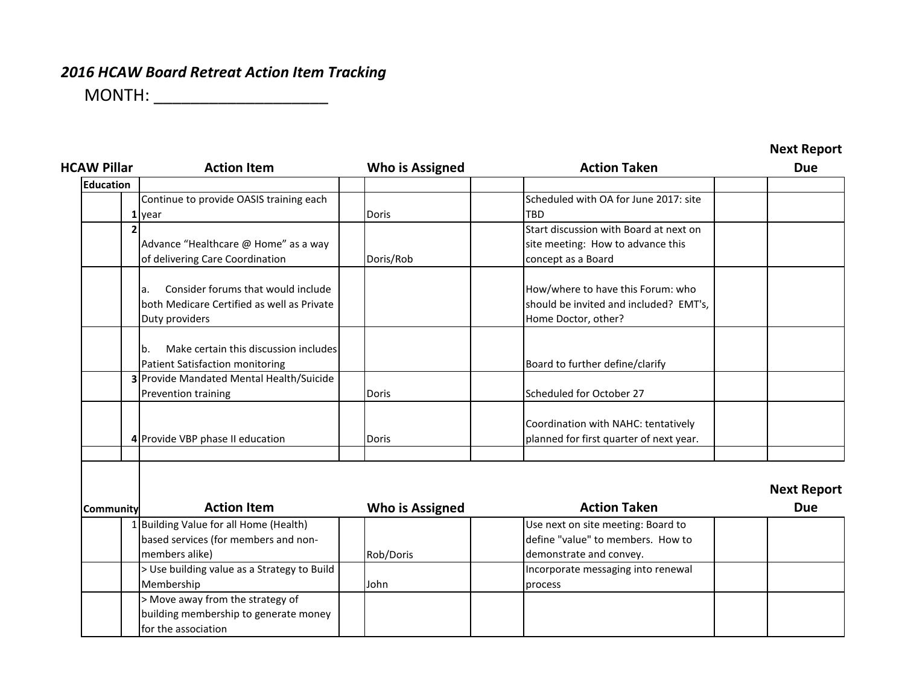# *2016 HCAW Board Retreat Action Item Tracking*

MONTH: \_\_\_\_\_\_\_\_\_\_\_\_\_\_\_\_\_\_\_

| <b>HCAW Pillar</b> | <b>Action Item</b>                          | <b>Who is Assigned</b> | <b>Action Taken</b>                     | <b>Due</b>         |
|--------------------|---------------------------------------------|------------------------|-----------------------------------------|--------------------|
| <b>Education</b>   |                                             |                        |                                         |                    |
|                    | Continue to provide OASIS training each     |                        | Scheduled with OA for June 2017: site   |                    |
|                    | L year                                      | Doris                  | <b>TBD</b>                              |                    |
|                    |                                             |                        | Start discussion with Board at next on  |                    |
|                    | Advance "Healthcare @ Home" as a way        |                        | site meeting: How to advance this       |                    |
|                    | of delivering Care Coordination             | Doris/Rob              | concept as a Board                      |                    |
|                    | Consider forums that would include<br>a.    |                        | How/where to have this Forum: who       |                    |
|                    | both Medicare Certified as well as Private  |                        | should be invited and included? EMT's,  |                    |
|                    | Duty providers                              |                        | Home Doctor, other?                     |                    |
|                    |                                             |                        |                                         |                    |
|                    | Make certain this discussion includes<br>b. |                        |                                         |                    |
|                    | <b>Patient Satisfaction monitoring</b>      |                        | Board to further define/clarify         |                    |
|                    | 3 Provide Mandated Mental Health/Suicide    |                        |                                         |                    |
|                    | Prevention training                         | <b>Doris</b>           | Scheduled for October 27                |                    |
|                    |                                             |                        | Coordination with NAHC: tentatively     |                    |
|                    | 4 Provide VBP phase II education            | <b>Doris</b>           | planned for first quarter of next year. |                    |
|                    |                                             |                        |                                         |                    |
|                    |                                             |                        |                                         | <b>Next Report</b> |
| <b>Community</b>   | <b>Action Item</b>                          | <b>Who is Assigned</b> | <b>Action Taken</b>                     | <b>Due</b>         |
|                    | 1 Building Value for all Home (Health)      |                        | Use next on site meeting: Board to      |                    |
|                    | based services (for members and non-        |                        | define "value" to members. How to       |                    |
|                    | members alike)                              | Rob/Doris              | demonstrate and convey.                 |                    |
|                    | > Use building value as a Strategy to Build |                        | Incorporate messaging into renewal      |                    |
|                    | Membership                                  | John                   | process                                 |                    |
|                    | > Move away from the strategy of            |                        |                                         |                    |
|                    | building membership to generate money       |                        |                                         |                    |
|                    | for the association                         |                        |                                         |                    |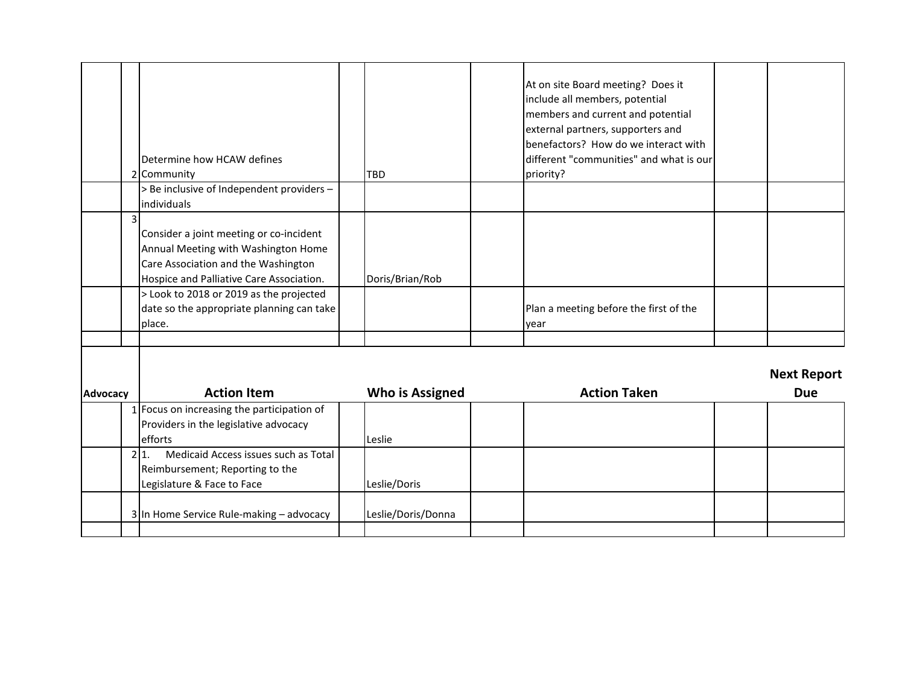|          | Determine how HCAW defines<br>2 Community                                                                                                                         | <b>TBD</b>             | At on site Board meeting? Does it<br>include all members, potential<br>members and current and potential<br>external partners, supporters and<br>benefactors? How do we interact with<br>different "communities" and what is our<br>priority? |                                  |
|----------|-------------------------------------------------------------------------------------------------------------------------------------------------------------------|------------------------|-----------------------------------------------------------------------------------------------------------------------------------------------------------------------------------------------------------------------------------------------|----------------------------------|
|          | > Be inclusive of Independent providers -                                                                                                                         |                        |                                                                                                                                                                                                                                               |                                  |
|          | individuals                                                                                                                                                       |                        |                                                                                                                                                                                                                                               |                                  |
|          | Consider a joint meeting or co-incident<br>Annual Meeting with Washington Home<br>Care Association and the Washington<br>Hospice and Palliative Care Association. | Doris/Brian/Rob        |                                                                                                                                                                                                                                               |                                  |
|          | > Look to 2018 or 2019 as the projected<br>date so the appropriate planning can take<br>place.                                                                    |                        | Plan a meeting before the first of the<br>year                                                                                                                                                                                                |                                  |
| Advocacy | <b>Action Item</b>                                                                                                                                                | <b>Who is Assigned</b> | <b>Action Taken</b>                                                                                                                                                                                                                           | <b>Next Report</b><br><b>Due</b> |
|          | 1 Focus on increasing the participation of                                                                                                                        |                        |                                                                                                                                                                                                                                               |                                  |
|          | Providers in the legislative advocacy                                                                                                                             |                        |                                                                                                                                                                                                                                               |                                  |
|          | efforts<br>Medicaid Access issues such as Total<br>$2 1$ .                                                                                                        | Leslie                 |                                                                                                                                                                                                                                               |                                  |
|          | Reimbursement; Reporting to the                                                                                                                                   |                        |                                                                                                                                                                                                                                               |                                  |
|          | Legislature & Face to Face                                                                                                                                        | Leslie/Doris           |                                                                                                                                                                                                                                               |                                  |
|          | 3 In Home Service Rule-making - advocacy                                                                                                                          | Leslie/Doris/Donna     |                                                                                                                                                                                                                                               |                                  |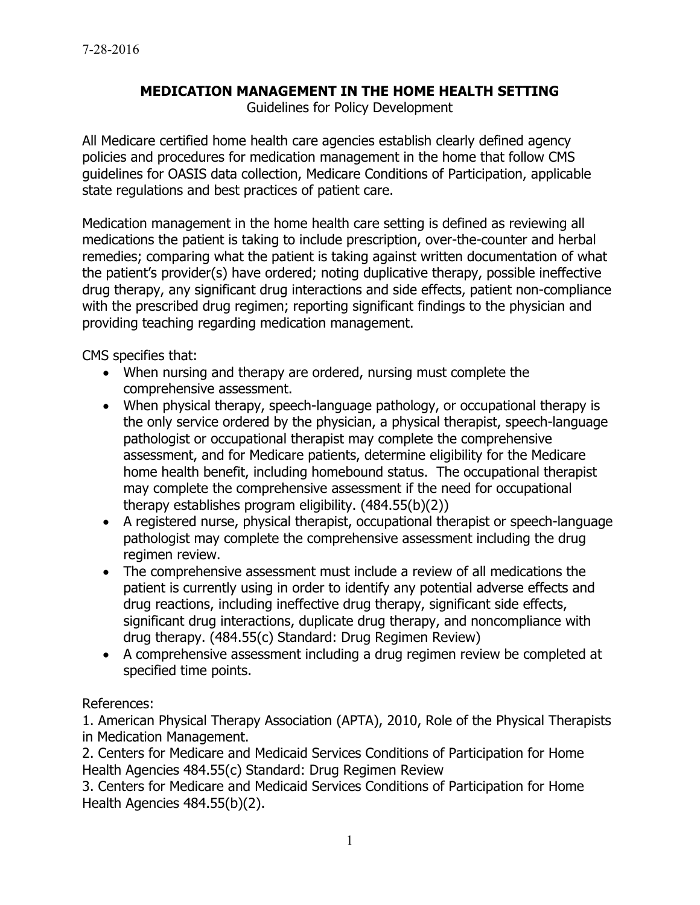## **MEDICATION MANAGEMENT IN THE HOME HEALTH SETTING**

Guidelines for Policy Development

All Medicare certified home health care agencies establish clearly defined agency policies and procedures for medication management in the home that follow CMS guidelines for OASIS data collection, Medicare Conditions of Participation, applicable state regulations and best practices of patient care.

Medication management in the home health care setting is defined as reviewing all medications the patient is taking to include prescription, over-the-counter and herbal remedies; comparing what the patient is taking against written documentation of what the patient's provider(s) have ordered; noting duplicative therapy, possible ineffective drug therapy, any significant drug interactions and side effects, patient non-compliance with the prescribed drug regimen; reporting significant findings to the physician and providing teaching regarding medication management.

CMS specifies that:

- When nursing and therapy are ordered, nursing must complete the comprehensive assessment.
- When physical therapy, speech-language pathology, or occupational therapy is the only service ordered by the physician, a physical therapist, speech-language pathologist or occupational therapist may complete the comprehensive assessment, and for Medicare patients, determine eligibility for the Medicare home health benefit, including homebound status. The occupational therapist may complete the comprehensive assessment if the need for occupational therapy establishes program eligibility. (484.55(b)(2))
- A registered nurse, physical therapist, occupational therapist or speech-language pathologist may complete the comprehensive assessment including the drug regimen review.
- The comprehensive assessment must include a review of all medications the patient is currently using in order to identify any potential adverse effects and drug reactions, including ineffective drug therapy, significant side effects, significant drug interactions, duplicate drug therapy, and noncompliance with drug therapy. (484.55(c) Standard: Drug Regimen Review)
- A comprehensive assessment including a drug regimen review be completed at specified time points.

## References:

1. American Physical Therapy Association (APTA), 2010, Role of the Physical Therapists in Medication Management.

2. Centers for Medicare and Medicaid Services Conditions of Participation for Home Health Agencies 484.55(c) Standard: Drug Regimen Review

3. Centers for Medicare and Medicaid Services Conditions of Participation for Home Health Agencies 484.55(b)(2).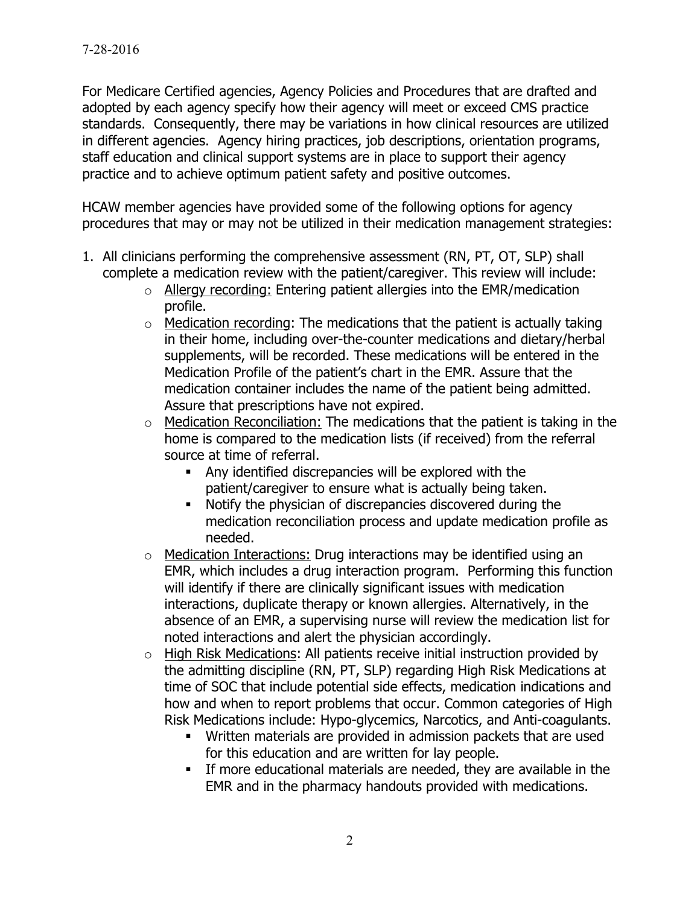For Medicare Certified agencies, Agency Policies and Procedures that are drafted and adopted by each agency specify how their agency will meet or exceed CMS practice standards. Consequently, there may be variations in how clinical resources are utilized in different agencies. Agency hiring practices, job descriptions, orientation programs, staff education and clinical support systems are in place to support their agency practice and to achieve optimum patient safety and positive outcomes.

HCAW member agencies have provided some of the following options for agency procedures that may or may not be utilized in their medication management strategies:

- 1. All clinicians performing the comprehensive assessment (RN, PT, OT, SLP) shall complete a medication review with the patient/caregiver. This review will include:
	- $\circ$  Allergy recording: Entering patient allergies into the EMR/medication profile.
	- $\circ$  Medication recording: The medications that the patient is actually taking in their home, including over-the-counter medications and dietary/herbal supplements, will be recorded. These medications will be entered in the Medication Profile of the patient's chart in the EMR. Assure that the medication container includes the name of the patient being admitted. Assure that prescriptions have not expired.
	- $\circ$  Medication Reconciliation: The medications that the patient is taking in the home is compared to the medication lists (if received) from the referral source at time of referral.
		- Any identified discrepancies will be explored with the patient/caregiver to ensure what is actually being taken.
		- Notify the physician of discrepancies discovered during the medication reconciliation process and update medication profile as needed.
	- o Medication Interactions: Drug interactions may be identified using an EMR, which includes a drug interaction program. Performing this function will identify if there are clinically significant issues with medication interactions, duplicate therapy or known allergies. Alternatively, in the absence of an EMR, a supervising nurse will review the medication list for noted interactions and alert the physician accordingly.
	- o High Risk Medications: All patients receive initial instruction provided by the admitting discipline (RN, PT, SLP) regarding High Risk Medications at time of SOC that include potential side effects, medication indications and how and when to report problems that occur. Common categories of High Risk Medications include: Hypo-glycemics, Narcotics, and Anti-coagulants.
		- Written materials are provided in admission packets that are used for this education and are written for lay people.
		- If more educational materials are needed, they are available in the EMR and in the pharmacy handouts provided with medications.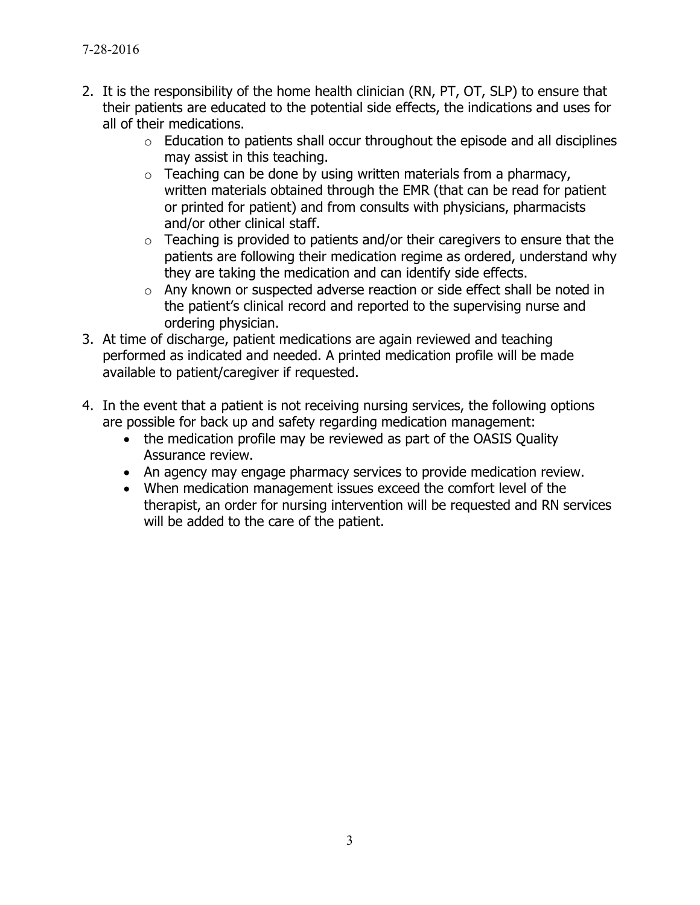- 2. It is the responsibility of the home health clinician (RN, PT, OT, SLP) to ensure that their patients are educated to the potential side effects, the indications and uses for all of their medications.
	- $\circ$  Education to patients shall occur throughout the episode and all disciplines may assist in this teaching.
	- $\circ$  Teaching can be done by using written materials from a pharmacy, written materials obtained through the EMR (that can be read for patient or printed for patient) and from consults with physicians, pharmacists and/or other clinical staff.
	- $\circ$  Teaching is provided to patients and/or their caregivers to ensure that the patients are following their medication regime as ordered, understand why they are taking the medication and can identify side effects.
	- o Any known or suspected adverse reaction or side effect shall be noted in the patient's clinical record and reported to the supervising nurse and ordering physician.
- 3. At time of discharge, patient medications are again reviewed and teaching performed as indicated and needed. A printed medication profile will be made available to patient/caregiver if requested.
- 4. In the event that a patient is not receiving nursing services, the following options are possible for back up and safety regarding medication management:
	- the medication profile may be reviewed as part of the OASIS Quality Assurance review.
	- An agency may engage pharmacy services to provide medication review.
	- When medication management issues exceed the comfort level of the therapist, an order for nursing intervention will be requested and RN services will be added to the care of the patient.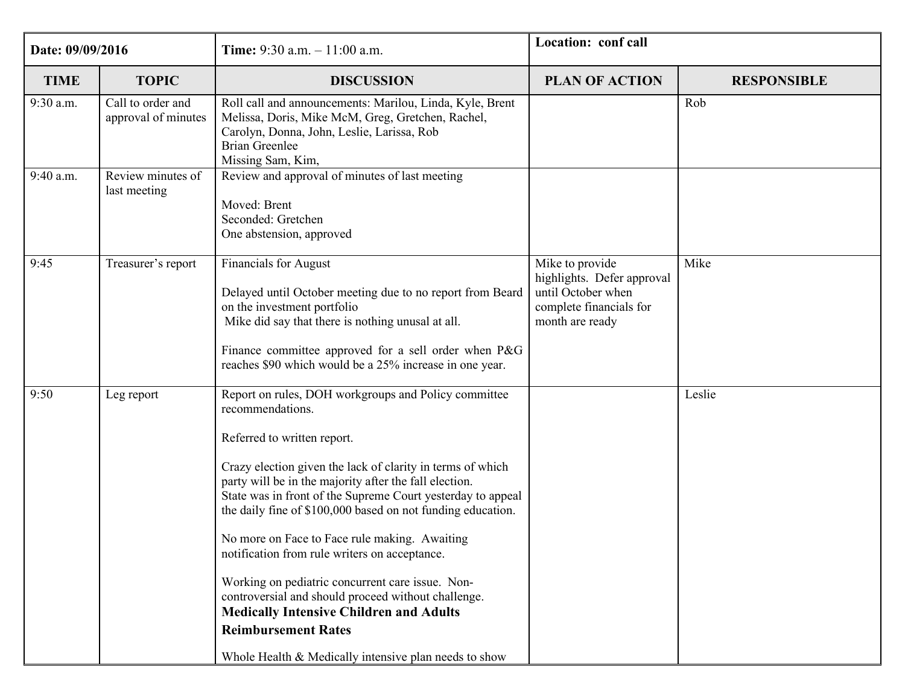| Date: 09/09/2016 |                                          | <b>Time:</b> 9:30 a.m. $-11:00$ a.m.                                                                                                                                                                                                                                                                                                                                                                                                                                                                                                                                                                                                                                                                                | Location: conf call                                                                                               |                    |
|------------------|------------------------------------------|---------------------------------------------------------------------------------------------------------------------------------------------------------------------------------------------------------------------------------------------------------------------------------------------------------------------------------------------------------------------------------------------------------------------------------------------------------------------------------------------------------------------------------------------------------------------------------------------------------------------------------------------------------------------------------------------------------------------|-------------------------------------------------------------------------------------------------------------------|--------------------|
| <b>TIME</b>      | <b>TOPIC</b>                             | <b>DISCUSSION</b>                                                                                                                                                                                                                                                                                                                                                                                                                                                                                                                                                                                                                                                                                                   | <b>PLAN OF ACTION</b>                                                                                             | <b>RESPONSIBLE</b> |
| 9:30 a.m.        | Call to order and<br>approval of minutes | Roll call and announcements: Marilou, Linda, Kyle, Brent<br>Melissa, Doris, Mike McM, Greg, Gretchen, Rachel,<br>Carolyn, Donna, John, Leslie, Larissa, Rob<br><b>Brian Greenlee</b><br>Missing Sam, Kim,                                                                                                                                                                                                                                                                                                                                                                                                                                                                                                           |                                                                                                                   | Rob                |
| 9:40 a.m.        | Review minutes of<br>last meeting        | Review and approval of minutes of last meeting<br>Moved: Brent<br>Seconded: Gretchen<br>One abstension, approved                                                                                                                                                                                                                                                                                                                                                                                                                                                                                                                                                                                                    |                                                                                                                   |                    |
| 9:45             | Treasurer's report                       | <b>Financials for August</b><br>Delayed until October meeting due to no report from Beard<br>on the investment portfolio<br>Mike did say that there is nothing unusal at all.<br>Finance committee approved for a sell order when P&G<br>reaches \$90 which would be a 25% increase in one year.                                                                                                                                                                                                                                                                                                                                                                                                                    | Mike to provide<br>highlights. Defer approval<br>until October when<br>complete financials for<br>month are ready | Mike               |
| 9:50             | Leg report                               | Report on rules, DOH workgroups and Policy committee<br>recommendations.<br>Referred to written report.<br>Crazy election given the lack of clarity in terms of which<br>party will be in the majority after the fall election.<br>State was in front of the Supreme Court yesterday to appeal<br>the daily fine of \$100,000 based on not funding education.<br>No more on Face to Face rule making. Awaiting<br>notification from rule writers on acceptance.<br>Working on pediatric concurrent care issue. Non-<br>controversial and should proceed without challenge.<br><b>Medically Intensive Children and Adults</b><br><b>Reimbursement Rates</b><br>Whole Health & Medically intensive plan needs to show |                                                                                                                   | Leslie             |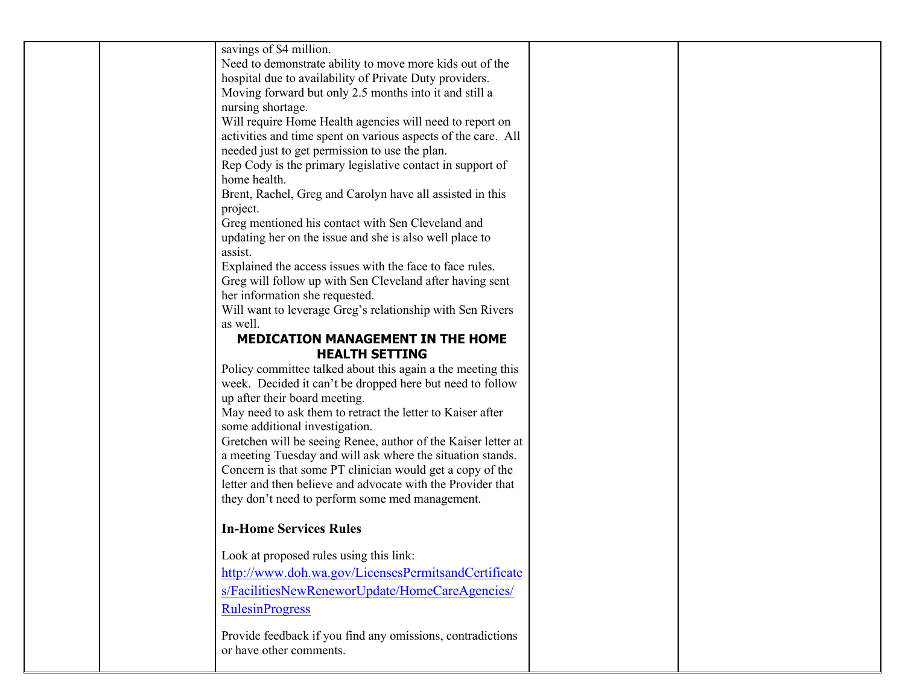| savings of \$4 million.                                                                    |  |
|--------------------------------------------------------------------------------------------|--|
| Need to demonstrate ability to move more kids out of the                                   |  |
| hospital due to availability of Private Duty providers.                                    |  |
| Moving forward but only 2.5 months into it and still a                                     |  |
| nursing shortage.                                                                          |  |
| Will require Home Health agencies will need to report on                                   |  |
| activities and time spent on various aspects of the care. All                              |  |
| needed just to get permission to use the plan.                                             |  |
| Rep Cody is the primary legislative contact in support of                                  |  |
| home health.                                                                               |  |
| Brent, Rachel, Greg and Carolyn have all assisted in this                                  |  |
| project.                                                                                   |  |
| Greg mentioned his contact with Sen Cleveland and                                          |  |
| updating her on the issue and she is also well place to                                    |  |
| assist.                                                                                    |  |
| Explained the access issues with the face to face rules.                                   |  |
| Greg will follow up with Sen Cleveland after having sent                                   |  |
| her information she requested.                                                             |  |
| Will want to leverage Greg's relationship with Sen Rivers                                  |  |
| as well.                                                                                   |  |
| <b>MEDICATION MANAGEMENT IN THE HOME</b>                                                   |  |
| <b>HEALTH SETTING</b>                                                                      |  |
| Policy committee talked about this again a the meeting this                                |  |
| week. Decided it can't be dropped here but need to follow<br>up after their board meeting. |  |
| May need to ask them to retract the letter to Kaiser after                                 |  |
| some additional investigation.                                                             |  |
| Gretchen will be seeing Renee, author of the Kaiser letter at                              |  |
| a meeting Tuesday and will ask where the situation stands.                                 |  |
| Concern is that some PT clinician would get a copy of the                                  |  |
| letter and then believe and advocate with the Provider that                                |  |
| they don't need to perform some med management.                                            |  |
|                                                                                            |  |
| <b>In-Home Services Rules</b>                                                              |  |
| Look at proposed rules using this link:                                                    |  |
| http://www.doh.wa.gov/LicensesPermitsandCertificate                                        |  |
| s/FacilitiesNewReneworUpdate/HomeCareAgencies/                                             |  |
| <b>RulesinProgress</b>                                                                     |  |
|                                                                                            |  |
| Provide feedback if you find any omissions, contradictions                                 |  |
| or have other comments.                                                                    |  |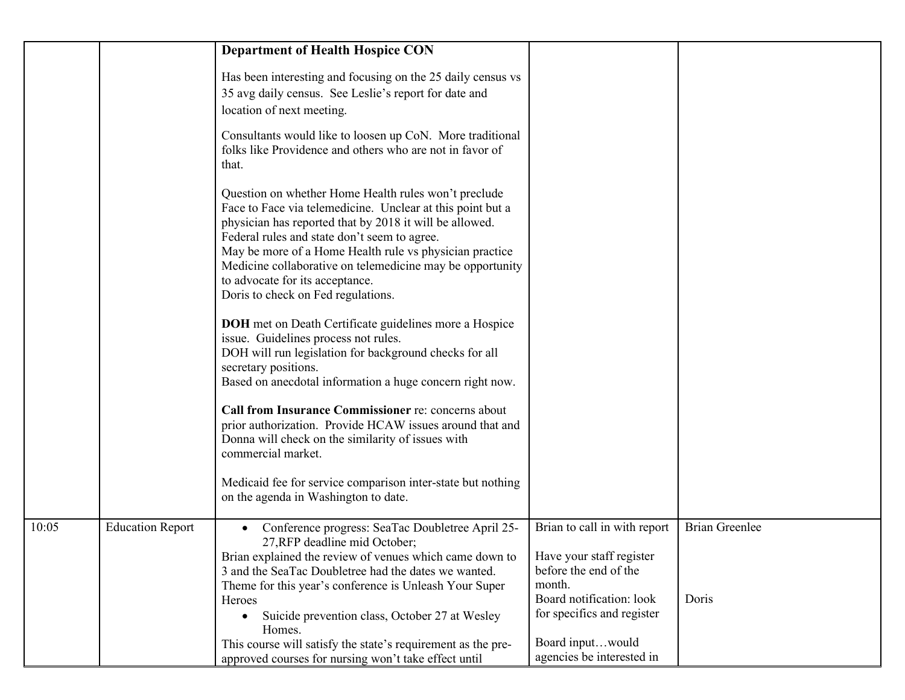|       |                         | <b>Department of Health Hospice CON</b>                                                                                                                                                                                                                                                                                                                                                                                        |                                                                                                         |                       |
|-------|-------------------------|--------------------------------------------------------------------------------------------------------------------------------------------------------------------------------------------------------------------------------------------------------------------------------------------------------------------------------------------------------------------------------------------------------------------------------|---------------------------------------------------------------------------------------------------------|-----------------------|
|       |                         | Has been interesting and focusing on the 25 daily census vs<br>35 avg daily census. See Leslie's report for date and<br>location of next meeting.                                                                                                                                                                                                                                                                              |                                                                                                         |                       |
|       |                         | Consultants would like to loosen up CoN. More traditional<br>folks like Providence and others who are not in favor of<br>that.                                                                                                                                                                                                                                                                                                 |                                                                                                         |                       |
|       |                         | Question on whether Home Health rules won't preclude<br>Face to Face via telemedicine. Unclear at this point but a<br>physician has reported that by 2018 it will be allowed.<br>Federal rules and state don't seem to agree.<br>May be more of a Home Health rule vs physician practice<br>Medicine collaborative on telemedicine may be opportunity<br>to advocate for its acceptance.<br>Doris to check on Fed regulations. |                                                                                                         |                       |
|       |                         | <b>DOH</b> met on Death Certificate guidelines more a Hospice<br>issue. Guidelines process not rules.<br>DOH will run legislation for background checks for all<br>secretary positions.<br>Based on anecdotal information a huge concern right now.                                                                                                                                                                            |                                                                                                         |                       |
|       |                         | Call from Insurance Commissioner re: concerns about<br>prior authorization. Provide HCAW issues around that and<br>Donna will check on the similarity of issues with<br>commercial market.                                                                                                                                                                                                                                     |                                                                                                         |                       |
|       |                         | Medicaid fee for service comparison inter-state but nothing<br>on the agenda in Washington to date.                                                                                                                                                                                                                                                                                                                            |                                                                                                         |                       |
| 10:05 | <b>Education Report</b> | Conference progress: SeaTac Doubletree April 25-<br>27, RFP deadline mid October;<br>Brian explained the review of venues which came down to<br>3 and the SeaTac Doubletree had the dates we wanted.<br>Theme for this year's conference is Unleash Your Super                                                                                                                                                                 | Brian to call in with report<br>Have your staff register<br>before the end of the<br>month.             | <b>Brian Greenlee</b> |
|       |                         | Heroes<br>Suicide prevention class, October 27 at Wesley<br>$\bullet$<br>Homes.<br>This course will satisfy the state's requirement as the pre-<br>approved courses for nursing won't take effect until                                                                                                                                                                                                                        | Board notification: look<br>for specifics and register<br>Board inputwould<br>agencies be interested in | Doris                 |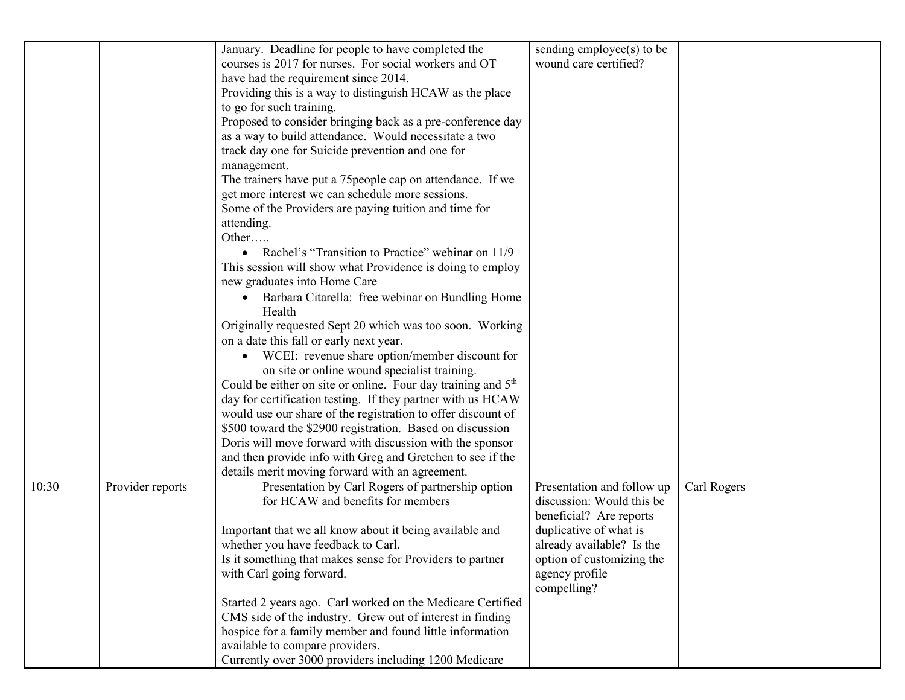|       |                  | January. Deadline for people to have completed the                       | sending employee(s) to be  |             |
|-------|------------------|--------------------------------------------------------------------------|----------------------------|-------------|
|       |                  | courses is 2017 for nurses. For social workers and OT                    | wound care certified?      |             |
|       |                  | have had the requirement since 2014.                                     |                            |             |
|       |                  | Providing this is a way to distinguish HCAW as the place                 |                            |             |
|       |                  | to go for such training.                                                 |                            |             |
|       |                  | Proposed to consider bringing back as a pre-conference day               |                            |             |
|       |                  | as a way to build attendance. Would necessitate a two                    |                            |             |
|       |                  | track day one for Suicide prevention and one for                         |                            |             |
|       |                  | management.                                                              |                            |             |
|       |                  | The trainers have put a 75 people cap on attendance. If we               |                            |             |
|       |                  | get more interest we can schedule more sessions.                         |                            |             |
|       |                  | Some of the Providers are paying tuition and time for                    |                            |             |
|       |                  | attending.                                                               |                            |             |
|       |                  | Other                                                                    |                            |             |
|       |                  | • Rachel's "Transition to Practice" webinar on 11/9                      |                            |             |
|       |                  | This session will show what Providence is doing to employ                |                            |             |
|       |                  | new graduates into Home Care                                             |                            |             |
|       |                  | • Barbara Citarella: free webinar on Bundling Home                       |                            |             |
|       |                  | Health                                                                   |                            |             |
|       |                  | Originally requested Sept 20 which was too soon. Working                 |                            |             |
|       |                  | on a date this fall or early next year.                                  |                            |             |
|       |                  | • WCEI: revenue share option/member discount for                         |                            |             |
|       |                  | on site or online wound specialist training.                             |                            |             |
|       |                  | Could be either on site or online. Four day training and 5 <sup>th</sup> |                            |             |
|       |                  | day for certification testing. If they partner with us HCAW              |                            |             |
|       |                  | would use our share of the registration to offer discount of             |                            |             |
|       |                  | \$500 toward the \$2900 registration. Based on discussion                |                            |             |
|       |                  | Doris will move forward with discussion with the sponsor                 |                            |             |
|       |                  | and then provide info with Greg and Gretchen to see if the               |                            |             |
|       |                  | details merit moving forward with an agreement.                          |                            |             |
| 10:30 | Provider reports | Presentation by Carl Rogers of partnership option                        | Presentation and follow up | Carl Rogers |
|       |                  | for HCAW and benefits for members                                        | discussion: Would this be  |             |
|       |                  |                                                                          | beneficial? Are reports    |             |
|       |                  | Important that we all know about it being available and                  | duplicative of what is     |             |
|       |                  | whether you have feedback to Carl.                                       | already available? Is the  |             |
|       |                  | Is it something that makes sense for Providers to partner                | option of customizing the  |             |
|       |                  | with Carl going forward.                                                 | agency profile             |             |
|       |                  |                                                                          | compelling?                |             |
|       |                  | Started 2 years ago. Carl worked on the Medicare Certified               |                            |             |
|       |                  | CMS side of the industry. Grew out of interest in finding                |                            |             |
|       |                  | hospice for a family member and found little information                 |                            |             |
|       |                  | available to compare providers.                                          |                            |             |
|       |                  | Currently over 3000 providers including 1200 Medicare                    |                            |             |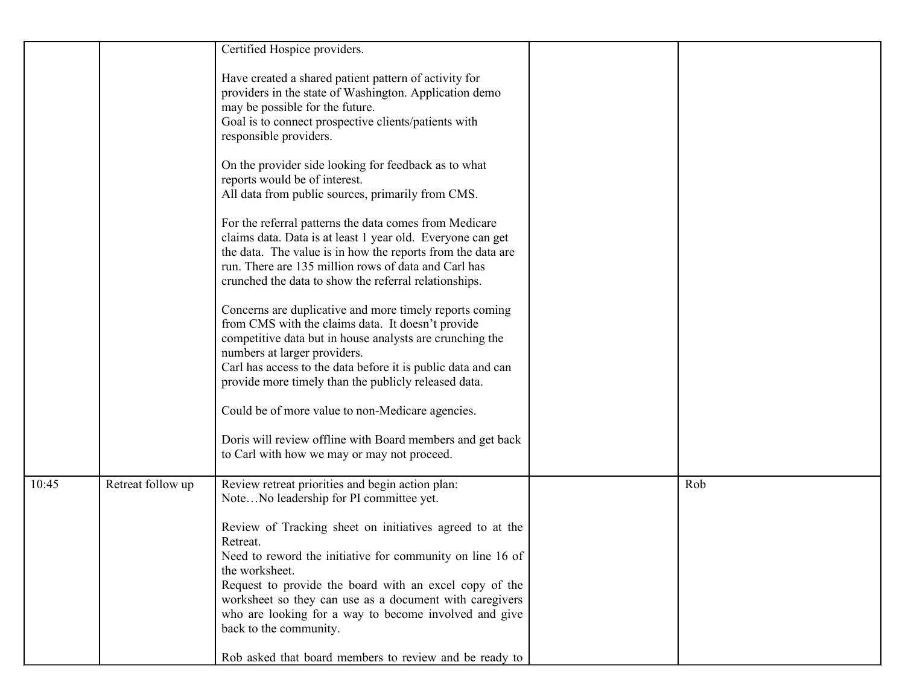|       |                   | Certified Hospice providers.                                                                                                                                                                                                                                                                                                     |     |
|-------|-------------------|----------------------------------------------------------------------------------------------------------------------------------------------------------------------------------------------------------------------------------------------------------------------------------------------------------------------------------|-----|
|       |                   | Have created a shared patient pattern of activity for<br>providers in the state of Washington. Application demo<br>may be possible for the future.<br>Goal is to connect prospective clients/patients with<br>responsible providers.                                                                                             |     |
|       |                   | On the provider side looking for feedback as to what<br>reports would be of interest.<br>All data from public sources, primarily from CMS.                                                                                                                                                                                       |     |
|       |                   | For the referral patterns the data comes from Medicare<br>claims data. Data is at least 1 year old. Everyone can get<br>the data. The value is in how the reports from the data are<br>run. There are 135 million rows of data and Carl has<br>crunched the data to show the referral relationships.                             |     |
|       |                   | Concerns are duplicative and more timely reports coming<br>from CMS with the claims data. It doesn't provide<br>competitive data but in house analysts are crunching the<br>numbers at larger providers.<br>Carl has access to the data before it is public data and can<br>provide more timely than the publicly released data. |     |
|       |                   | Could be of more value to non-Medicare agencies.                                                                                                                                                                                                                                                                                 |     |
|       |                   | Doris will review offline with Board members and get back<br>to Carl with how we may or may not proceed.                                                                                                                                                                                                                         |     |
| 10:45 | Retreat follow up | Review retreat priorities and begin action plan:<br>NoteNo leadership for PI committee yet.                                                                                                                                                                                                                                      | Rob |
|       |                   | Review of Tracking sheet on initiatives agreed to at the<br>Retreat.<br>Need to reword the initiative for community on line 16 of<br>the worksheet.<br>Request to provide the board with an excel copy of the<br>worksheet so they can use as a document with caregivers                                                         |     |
|       |                   | who are looking for a way to become involved and give<br>back to the community.<br>Rob asked that board members to review and be ready to                                                                                                                                                                                        |     |